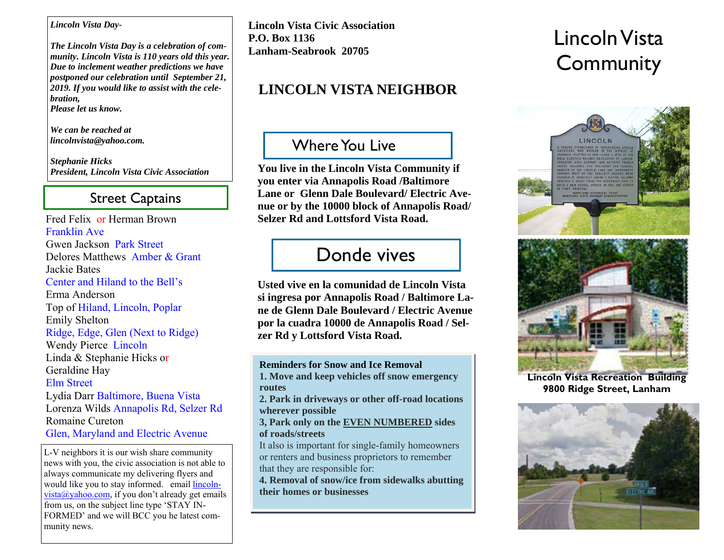#### *Lincoln Vista Day-*

*The Lincoln Vista Day is a celebration of community. Lincoln Vista is 110 years old this year. Due to inclement weather predictions we have postponed our celebration until September 21, 2019. If you would like to assist with the celebration, Please let us know.* 

*We can be reached at lincolnvista@yahoo.com.* 

*Stephanie Hicks President, Lincoln Vista Civic Association* 

## Street Captains

Fred Felix or Herman Brown Franklin AveGwen Jackson Park Street Delores Matthews Amber & GrantJackie Bates Center and Hiland to the Bell'sErma AndersonTop of Hiland, Lincoln, Poplar Emily Shelton Ridge, Edge, Glen (Next to Ridge) Wendy Pierce Lincoln Linda & Stephanie Hicks or Geraldine Hay Elm StreetLydia Darr Baltimore, Buena Vista Lorenza Wilds Annapolis Rd, Selzer Rd Romaine CuretonGlen, Maryland and Electric Avenue L-V neighbors it is our wish share community news with you, the civic association is not able to

always communicate my delivering flyers and would like you to stay informed. email lincoln $vista@yahoo.com$ , if you don't already get emails from us, on the subject line type 'STAY IN-FORMED' and we will BCC you he latest community news.

**Lincoln Vista Civic Association P.O. Box 1136 Lanham-Seabrook 20705** 

# **LINCOLN VISTA NEIGHBOR**

## Where You Live

**You live in the Lincoln Vista Community if you enter via Annapolis Road /Baltimore Lane or Glenn Dale Boulevard/ Electric Avenue or by the 10000 block of Annapolis Road/ Selzer Rd and Lottsford Vista Road.** 

# Donde vives

**Usted vive en la comunidad de Lincoln Vista si ingresa por Annapolis Road / Baltimore Lane de Glenn Dale Boulevard / Electric Avenue por la cuadra 10000 de Annapolis Road / Selzer Rd y Lottsford Vista Road.** 

**Reminders for Snow and Ice Removal 1. Move and keep vehicles off snow emergency routes**

**2. Park in driveways or other off-road locations wherever possible**

**3, Park only on the EVEN NUMBERED sides of roads/streets**

It also is important for single-family homeowners or renters and business proprietors to remember that they are responsible for:

**4. Removal of snow/ice from sidewalks abutting their homes or businesses** 

# Lincoln Vista **Community**



**Lincoln Vista Recreation Building 9800 Ridge Street, Lanham**